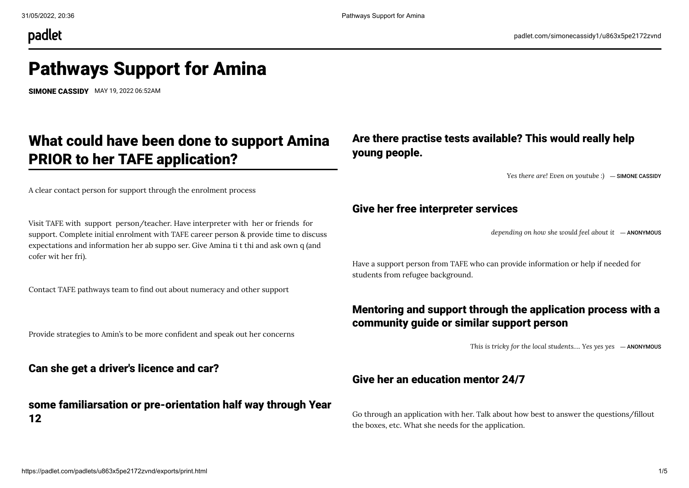padlet

# Pathways Support for Amina

[SIMONE CASSIDY](https://padlet.com/simonecassidy1) MAY 19, 2022 06:52AM

# What could have been done to support Amina PRIOR to her TAFE application?

A clear contact person for support through the enrolment process

Visit TAFE with support person/teacher. Have interpreter with her or friends for support. Complete initial enrolment with TAFE career person & provide time to discuss expectations and information her ab suppo ser. Give Amina ti t thi and ask own q (and cofer wit her fri).

Contact TAFE pathways team to find out about numeracy and other support

Provide strategies to Amin's to be more confident and speak out her concerns

Can she get a driver's licence and car?

#### some familiarsation or pre-orientation half way through Year 12

# Are there practise tests available? This would really help young people.

*Yes there are! Even on youtube :)* ― [SIMONE CASSIDY](https://padlet.com/simonecassidy1)

#### Give her free interpreter services

*depending on how she would feel about it* ― ANONYMOUS

Have a support person from TAFE who can provide information or help if needed for students from refugee background.

### Mentoring and support through the application process with a community guide or similar support person

*This is tricky for the local students…. Yes yes yes* ― ANONYMOUS

#### Give her an education mentor 24/7

Go through an application with her. Talk about how best to answer the questions/fillout the boxes, etc. What she needs for the application.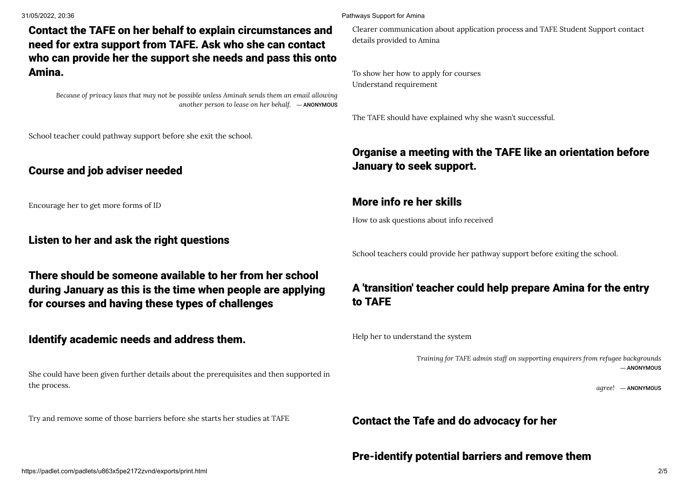Contact the TAFE on her behalf to explain circumstances and need for extra support from TAFE. Ask who she can contact who can provide her the support she needs and pass this onto Amina.

*Because of privacy laws that may not be possible unless Aminah sends them an email allowing another person to lease on her behalf.* ― ANONYMOUS

School teacher could pathway support before she exit the school.

#### Course and job adviser needed

Encourage her to get more forms of ID

#### Listen to her and ask the right questions

There should be someone available to her from her school during January as this is the time when people are applying for courses and having these types of challenges

#### Identify academic needs and address them.

She could have been given further details about the prerequisites and then supported in the process.

Try and remove some of those barriers before she starts her studies at TAFE

#### 31/05/2022, 20:36 Pathways Support for Amina

Clearer communication about application process and TAFE Student Support contact details provided to Amina

To show her how to apply for courses Understand requirement

The TAFE should have explained why she wasn't successful.

# Organise a meeting with the TAFE like an orientation before January to seek support.

#### More info re her skills

How to ask questions about info received

School teachers could provide her pathway support before exiting the school.

# A 'transition' teacher could help prepare Amina for the entry to TAFE

Help her to understand the system

*Training for TAFE admin staff on supporting enquirers from refugee backgrounds* ― ANONYMOUS

*agree!* ― ANONYMOUS

#### Contact the Tafe and do advocacy for her

#### Pre-identify potential barriers and remove them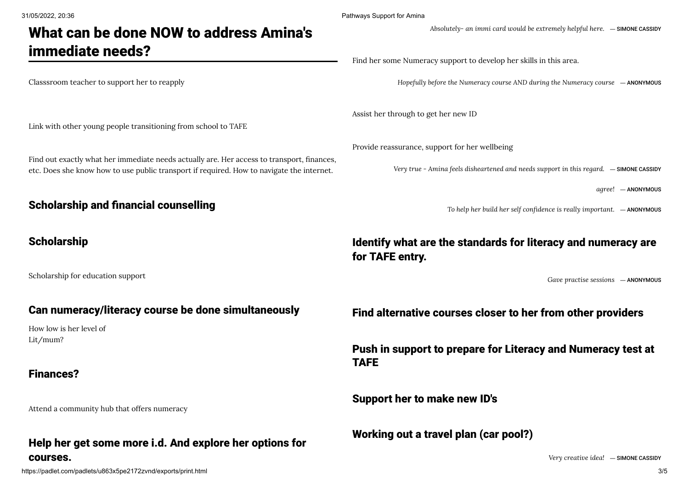# What can be done NOW to address Amina's immediate needs?

Classsroom teacher to support her to reapply

Link with other young people transitioning from school to TAFE

Find out exactly what her immediate needs actually are. Her access to transport, finances, etc. Does she know how to use public transport if required. How to navigate the internet.

#### Scholarship and financial counselling

# **Scholarship**

Scholarship for education support

#### Can numeracy/literacy course be done simultaneously

How low is her level of Lit/mum?

#### Finances?

Attend a community hub that offers numeracy

### Help her get some more i.d. And explore her options for courses.

31/05/2022, 20:36 Pathways Support for Amina

*Absolutely- an immi card would be extremely helpful here.* ― [SIMONE CASSIDY](https://padlet.com/simonecassidy1)

Find her some Numeracy support to develop her skills in this area.

*Hopefully before the Numeracy course AND during the Numeracy course* ― ANONYMOUS

Assist her through to get her new ID

Provide reassurance, support for her wellbeing

*Very true - Amina feels disheartened and needs support in this regard.* ― [SIMONE CASSIDY](https://padlet.com/simonecassidy1)

*agree!* ― ANONYMOUS

*To help her build her self confidence is really important.* ― ANONYMOUS

# Identify what are the standards for literacy and numeracy are for TAFE entry.

*Gave practise sessions* ― ANONYMOUS

Find alternative courses closer to her from other providers

Push in support to prepare for Literacy and Numeracy test at TAFE

Support her to make new ID's

Working out a travel plan (car pool?)

*Very creative idea!* ― [SIMONE CASSIDY](https://padlet.com/simonecassidy1)

https://padlet.com/padlets/u863x5pe2172zvnd/exports/print.html 3/5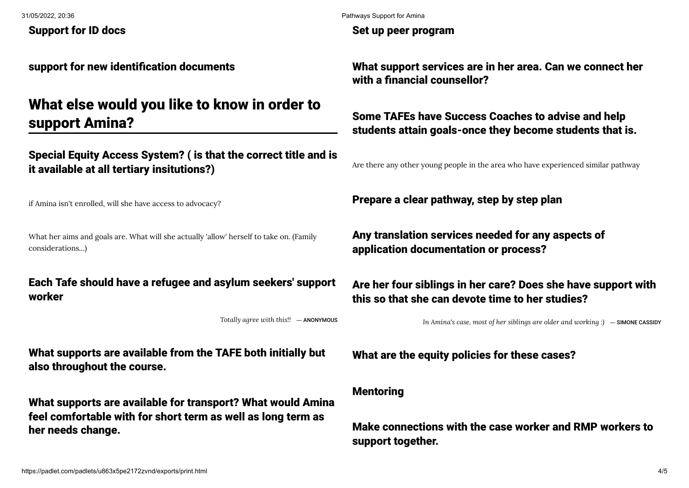Support for ID docs

support for new identification documents

# What else would you like to know in order to support Amina?

Special Equity Access System? ( is that the correct title and is it available at all tertiary insitutions?)

if Amina isn't enrolled, will she have access to advocacy?

What her aims and goals are. What will she actually 'allow' herself to take on. (Family considerations...)

### Each Tafe should have a refugee and asylum seekers' support worker

*Totally agree with this!!* ― ANONYMOUS

What supports are available from the TAFE both initially but also throughout the course.

What supports are available for transport? What would Amina feel comfortable with for short term as well as long term as her needs change.

Set up peer program

What support services are in her area. Can we connect her with a financial counsellor?

# Some TAFEs have Success Coaches to advise and help students attain goals-once they become students that is.

Are there any other young people in the area who have experienced similar pathway

Prepare a clear pathway, step by step plan

Any translation services needed for any aspects of application documentation or process?

Are her four siblings in her care? Does she have support with this so that she can devote time to her studies?

*In Amina's case, most of her siblings are older and working :)* ― [SIMONE CASSIDY](https://padlet.com/simonecassidy1)

What are the equity policies for these cases?

#### Mentoring

Make connections with the case worker and RMP workers to support together.